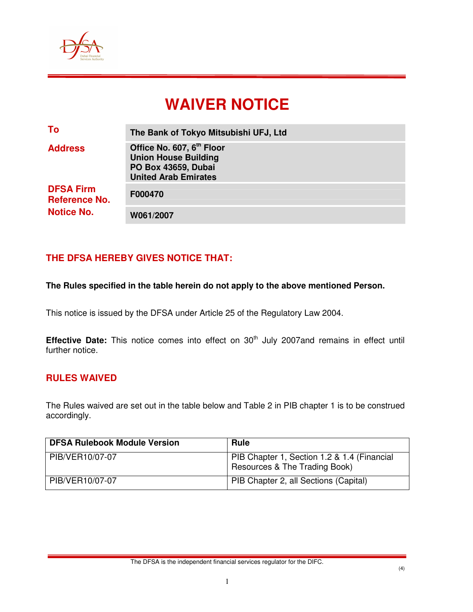

# **WAIVER NOTICE**

| To                                                            | The Bank of Tokyo Mitsubishi UFJ, Ltd                                                                                      |
|---------------------------------------------------------------|----------------------------------------------------------------------------------------------------------------------------|
| <b>Address</b>                                                | Office No. 607, 6 <sup>th</sup> Floor<br><b>Union House Building</b><br>PO Box 43659, Dubai<br><b>United Arab Emirates</b> |
| <b>DFSA Firm</b><br><b>Reference No.</b><br><b>Notice No.</b> | F000470                                                                                                                    |
|                                                               | W061/2007                                                                                                                  |

# **THE DFSA HEREBY GIVES NOTICE THAT:**

#### **The Rules specified in the table herein do not apply to the above mentioned Person.**

This notice is issued by the DFSA under Article 25 of the Regulatory Law 2004.

**Effective Date:** This notice comes into effect on 30<sup>th</sup> July 2007and remains in effect until further notice.

#### **RULES WAIVED**

The Rules waived are set out in the table below and Table 2 in PIB chapter 1 is to be construed accordingly.

| <b>DFSA Rulebook Module Version</b> | <b>Rule</b>                                                                  |
|-------------------------------------|------------------------------------------------------------------------------|
| PIB/VER10/07-07                     | PIB Chapter 1, Section 1.2 & 1.4 (Financial<br>Resources & The Trading Book) |
| PIB/VER10/07-07                     | PIB Chapter 2, all Sections (Capital)                                        |